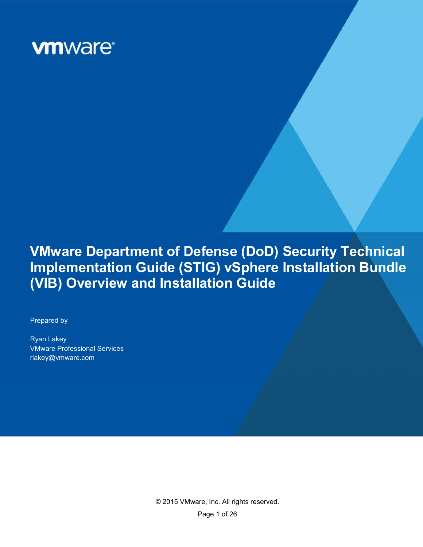

# **VMware Department of Defense (DoD) Security Technical Implementation Guide (STIG) vSphere Installation Bundle (VIB) Overview and Installation Guide**

VMWare DoD STIG VIB Overview and Installation Guide

Prepared by

Ryan Lakey VMware Professional Services rlakey@vmware.com

> © 2015 VMware, Inc. All rights reserved. Page 1 of 26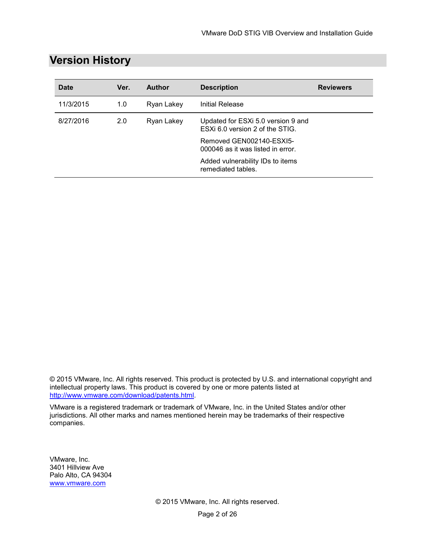| <b>Date</b> | Ver. | <b>Author</b> | <b>Description</b>                                                    | <b>Reviewers</b> |
|-------------|------|---------------|-----------------------------------------------------------------------|------------------|
| 11/3/2015   | 1.0  | Ryan Lakey    | Initial Release                                                       |                  |
| 8/27/2016   | 2.0  | Ryan Lakey    | Updated for ESXi 5.0 version 9 and<br>ESXi 6.0 version 2 of the STIG. |                  |
|             |      |               | Removed GEN002140-ESXI5-<br>000046 as it was listed in error.         |                  |
|             |      |               | Added vulnerability IDs to items<br>remediated tables.                |                  |

# **Version History**

© 2015 VMware, Inc. All rights reserved. This product is protected by U.S. and international copyright and intellectual property laws. This product is covered by one or more patents listed at http://www.vmware.com/download/patents.html.

VMware is a registered trademark or trademark of VMware, Inc. in the United States and/or other jurisdictions. All other marks and names mentioned herein may be trademarks of their respective companies.

VMware, Inc. 3401 Hillview Ave Palo Alto, CA 94304 www.vmware.com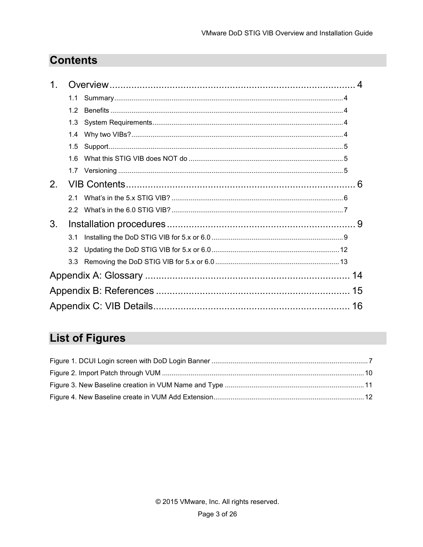# **Contents**

| 1. |     |    |
|----|-----|----|
|    | 1.1 |    |
|    | 1.2 |    |
|    | 1.3 |    |
|    | 1.4 |    |
|    | 1.5 |    |
|    | 16  |    |
|    |     |    |
| 2. |     |    |
|    | 2.1 |    |
|    | 22  |    |
| 3. |     |    |
|    | 3.1 |    |
|    | 3.2 |    |
|    | 3.3 |    |
|    |     |    |
|    |     |    |
|    |     | 16 |

# **List of Figures**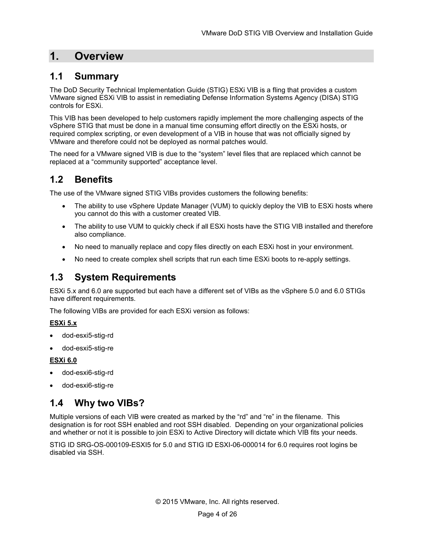# **1. Overview**

# **1.1 Summary**

The DoD Security Technical Implementation Guide (STIG) ESXi VIB is a fling that provides a custom VMware signed ESXi VIB to assist in remediating Defense Information Systems Agency (DISA) STIG controls for ESXi.

This VIB has been developed to help customers rapidly implement the more challenging aspects of the vSphere STIG that must be done in a manual time consuming effort directly on the ESXi hosts, or required complex scripting, or even development of a VIB in house that was not officially signed by VMware and therefore could not be deployed as normal patches would.

The need for a VMware signed VIB is due to the "system" level files that are replaced which cannot be replaced at a "community supported" acceptance level.

# **1.2 Benefits**

The use of the VMware signed STIG VIBs provides customers the following benefits:

- The ability to use vSphere Update Manager (VUM) to quickly deploy the VIB to ESXi hosts where you cannot do this with a customer created VIB.
- The ability to use VUM to quickly check if all ESXi hosts have the STIG VIB installed and therefore also compliance.
- No need to manually replace and copy files directly on each ESXi host in your environment.
- No need to create complex shell scripts that run each time ESXi boots to re-apply settings.

### **1.3 System Requirements**

ESXi 5.x and 6.0 are supported but each have a different set of VIBs as the vSphere 5.0 and 6.0 STIGs have different requirements.

The following VIBs are provided for each ESXi version as follows:

### **ESXi 5.x**

- dod-esxi5-stig-rd
- dod-esxi5-stig-re

### **ESXi 6.0**

- dod-esxi6-stig-rd
- dod-esxi6-stig-re

# **1.4 Why two VIBs?**

Multiple versions of each VIB were created as marked by the "rd" and "re" in the filename. This designation is for root SSH enabled and root SSH disabled. Depending on your organizational policies and whether or not it is possible to join ESXi to Active Directory will dictate which VIB fits your needs.

STIG ID SRG-OS-000109-ESXI5 for 5.0 and STIG ID ESXI-06-000014 for 6.0 requires root logins be disabled via SSH.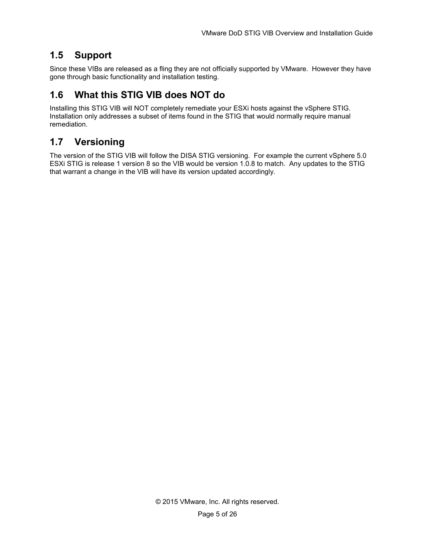# **1.5 Support**

Since these VIBs are released as a fling they are not officially supported by VMware. However they have gone through basic functionality and installation testing.

# **1.6 What this STIG VIB does NOT do**

Installing this STIG VIB will NOT completely remediate your ESXi hosts against the vSphere STIG. Installation only addresses a subset of items found in the STIG that would normally require manual remediation.

# **1.7 Versioning**

The version of the STIG VIB will follow the DISA STIG versioning. For example the current vSphere 5.0 ESXi STIG is release 1 version 8 so the VIB would be version 1.0.8 to match. Any updates to the STIG that warrant a change in the VIB will have its version updated accordingly.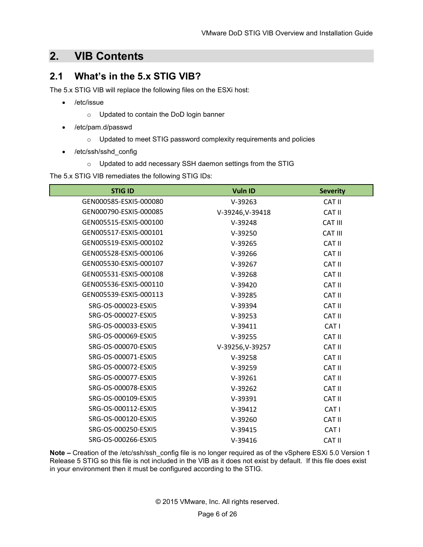# **2. VIB Contents**

### **2.1 What's in the 5.x STIG VIB?**

The 5.x STIG VIB will replace the following files on the ESXi host:

- /etc/issue
	- o Updated to contain the DoD login banner
- /etc/pam.d/passwd
	- o Updated to meet STIG password complexity requirements and policies
- /etc/ssh/sshd\_config
	- o Updated to add necessary SSH daemon settings from the STIG

The 5.x STIG VIB remediates the following STIG IDs:

| <b>STIG ID</b>         | <b>Vuln ID</b>   | <b>Severity</b> |
|------------------------|------------------|-----------------|
| GEN000585-ESXI5-000080 | $V-39263$        | <b>CAT II</b>   |
| GEN000790-ESXI5-000085 | V-39246, V-39418 | <b>CAT II</b>   |
| GEN005515-ESXI5-000100 | $V-39248$        | <b>CAT III</b>  |
| GEN005517-ESXI5-000101 | $V-39250$        | <b>CAT III</b>  |
| GEN005519-ESXI5-000102 | $V-39265$        | CAT II          |
| GEN005528-ESXI5-000106 | $V-39266$        | CAT II          |
| GEN005530-ESXI5-000107 | $V-39267$        | <b>CAT II</b>   |
| GEN005531-ESXI5-000108 | $V-39268$        | <b>CAT II</b>   |
| GEN005536-ESXI5-000110 | $V-39420$        | <b>CAT II</b>   |
| GEN005539-ESXI5-000113 | $V-39285$        | CAT II          |
| SRG-OS-000023-ESXI5    | $V-39394$        | CAT II          |
| SRG-OS-000027-ESXI5    | $V-39253$        | <b>CAT II</b>   |
| SRG-OS-000033-ESXI5    | $V-39411$        | CAT I           |
| SRG-OS-000069-ESXI5    | $V-39255$        | <b>CAT II</b>   |
| SRG-OS-000070-ESXI5    | V-39256, V-39257 | CAT II          |
| SRG-OS-000071-ESXI5    | $V-39258$        | <b>CAT II</b>   |
| SRG-OS-000072-ESXI5    | $V-39259$        | CAT II          |
| SRG-OS-000077-ESXI5    | $V-39261$        | CAT II          |
| SRG-OS-000078-ESXI5    | $V-39262$        | CAT II          |
| SRG-OS-000109-ESXI5    | $V-39391$        | CAT II          |
| SRG-OS-000112-ESXI5    | $V-39412$        | CAT I           |
| SRG-OS-000120-ESXI5    | $V-39260$        | <b>CAT II</b>   |
| SRG-OS-000250-ESXI5    | $V-39415$        | CAT I           |
| SRG-OS-000266-ESXI5    | $V-39416$        | <b>CAT II</b>   |

**Note –** Creation of the /etc/ssh/ssh\_config file is no longer required as of the vSphere ESXi 5.0 Version 1 Release 5 STIG so this file is not included in the VIB as it does not exist by default. If this file does exist in your environment then it must be configured according to the STIG.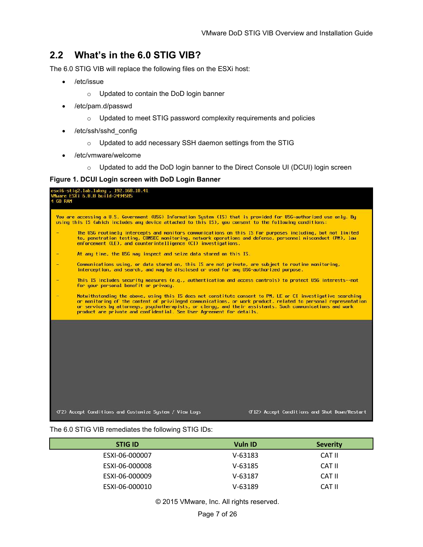# **2.2 What's in the 6.0 STIG VIB?**

The 6.0 STIG VIB will replace the following files on the ESXi host:

- /etc/issue
	- o Updated to contain the DoD login banner
- /etc/pam.d/passwd
	- o Updated to meet STIG password complexity requirements and policies
- /etc/ssh/sshd\_config
	- o Updated to add necessary SSH daemon settings from the STIG
- /etc/vmware/welcome
	- o Updated to add the DoD login banner to the Direct Console UI (DCUI) login screen

#### **Figure 1. DCUI Login screen with DoD Login Banner**

| esxi6-stig2.lab.lakey , 192.168.10.41<br>VMware ESXi 6.0.0 build-2494585<br>4 GB RAM                                                                                                                                                                                                                                                                                                                                 |
|----------------------------------------------------------------------------------------------------------------------------------------------------------------------------------------------------------------------------------------------------------------------------------------------------------------------------------------------------------------------------------------------------------------------|
| You are accessing a U.S. Government (USG) Information System (IS) that is provided for USG-authorized use only. By<br>using this IS (which includes any device attached to this IS), you consent to the following conditions:                                                                                                                                                                                        |
| The USG routinely intercepts and monitors communications on this IS for purposes including, but not limited<br>to, penetration testing, COMSEC monitoring, network operations and defense, personnel misconduct (PM), law<br>enforcement (LE), and counterintelligence (CI) investigations.                                                                                                                          |
| At any time, the USG may inspect and seize data stored on this IS.                                                                                                                                                                                                                                                                                                                                                   |
| Communications using, or data stored on, this IS are not private, are subject to routine monitoring,<br>interception, and search, and may be disclosed or used for any USG-authorized purpose.                                                                                                                                                                                                                       |
| This IS includes security measures (e.g., authentication and access controls) to protect USG interests--not<br>for your personal benefit or privacy.                                                                                                                                                                                                                                                                 |
| Notwithstanding the above, using this IS does not constitute consent to PM, LE or CI investigative searching<br>or monitoring of the content of privileged communications, or work product, related to personal representation<br>or services by attorneys, psychotherapists, or clergy, and their assistants. Such communications and work<br>product are private and confidential. See User Agreement for details. |
|                                                                                                                                                                                                                                                                                                                                                                                                                      |
|                                                                                                                                                                                                                                                                                                                                                                                                                      |
|                                                                                                                                                                                                                                                                                                                                                                                                                      |
|                                                                                                                                                                                                                                                                                                                                                                                                                      |
|                                                                                                                                                                                                                                                                                                                                                                                                                      |
| <f2> Accept Conditions and Customize System / View Logs<br/><f12> Accept Conditions and Shut Down/Restart</f12></f2>                                                                                                                                                                                                                                                                                                 |

#### The 6.0 STIG VIB remediates the following STIG IDs:

| <b>STIG ID</b> | <b>Vuln ID</b> | <b>Severity</b> |
|----------------|----------------|-----------------|
| ESXI-06-000007 | V-63183        | CAT II          |
| ESXI-06-000008 | $V - 63185$    | CAT II          |
| ESXI-06-000009 | $V - 63187$    | CAT II          |
| ESXI-06-000010 | $V - 63189$    | CAT II          |

© 2015 VMware, Inc. All rights reserved.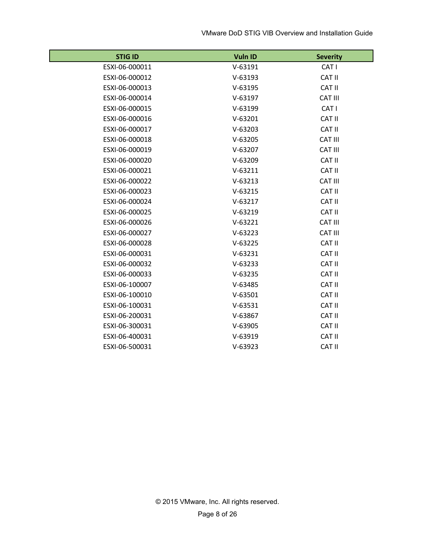| <b>STIG ID</b> | Vuln ID   | <b>Severity</b> |
|----------------|-----------|-----------------|
| ESXI-06-000011 | $V-63191$ | CAT I           |
| ESXI-06-000012 | $V-63193$ | CAT II          |
| ESXI-06-000013 | $V-63195$ | <b>CAT II</b>   |
| ESXI-06-000014 | $V-63197$ | CAT III         |
| ESXI-06-000015 | $V-63199$ | CAT I           |
| ESXI-06-000016 | $V-63201$ | <b>CAT II</b>   |
| ESXI-06-000017 | $V-63203$ | <b>CAT II</b>   |
| ESXI-06-000018 | $V-63205$ | CAT III         |
| ESXI-06-000019 | $V-63207$ | CAT III         |
| ESXI-06-000020 | $V-63209$ | <b>CAT II</b>   |
| ESXI-06-000021 | $V-63211$ | <b>CAT II</b>   |
| ESXI-06-000022 | $V-63213$ | CAT III         |
| ESXI-06-000023 | $V-63215$ | <b>CAT II</b>   |
| ESXI-06-000024 | $V-63217$ | <b>CAT II</b>   |
| ESXI-06-000025 | $V-63219$ | <b>CAT II</b>   |
| ESXI-06-000026 | $V-63221$ | CAT III         |
| ESXI-06-000027 | $V-63223$ | <b>CAT III</b>  |
| ESXI-06-000028 | $V-63225$ | <b>CAT II</b>   |
| ESXI-06-000031 | $V-63231$ | <b>CAT II</b>   |
| ESXI-06-000032 | $V-63233$ | <b>CAT II</b>   |
| ESXI-06-000033 | $V-63235$ | <b>CAT II</b>   |
| ESXI-06-100007 | $V-63485$ | <b>CAT II</b>   |
| ESXI-06-100010 | $V-63501$ | <b>CAT II</b>   |
| ESXI-06-100031 | $V-63531$ | <b>CAT II</b>   |
| ESXI-06-200031 | $V-63867$ | <b>CAT II</b>   |
| ESXI-06-300031 | $V-63905$ | <b>CAT II</b>   |
| ESXI-06-400031 | $V-63919$ | <b>CAT II</b>   |
| ESXI-06-500031 | $V-63923$ | <b>CAT II</b>   |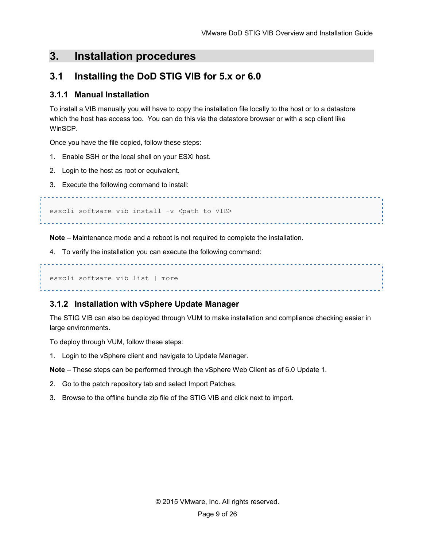# **3. Installation procedures**

# **3.1 Installing the DoD STIG VIB for 5.x or 6.0**

### **3.1.1 Manual Installation**

To install a VIB manually you will have to copy the installation file locally to the host or to a datastore which the host has access too. You can do this via the datastore browser or with a scp client like WinSCP.

Once you have the file copied, follow these steps:

- 1. Enable SSH or the local shell on your ESXi host.
- 2. Login to the host as root or equivalent.
- 3. Execute the following command to install:

esxcli software vib install -v <path to VIB>

**Note** – Maintenance mode and a reboot is not required to complete the installation.

4. To verify the installation you can execute the following command:

esxcli software vib list | more 

### **3.1.2 Installation with vSphere Update Manager**

The STIG VIB can also be deployed through VUM to make installation and compliance checking easier in large environments.

To deploy through VUM, follow these steps:

1. Login to the vSphere client and navigate to Update Manager.

**Note** – These steps can be performed through the vSphere Web Client as of 6.0 Update 1.

- 2. Go to the patch repository tab and select Import Patches.
- 3. Browse to the offline bundle zip file of the STIG VIB and click next to import.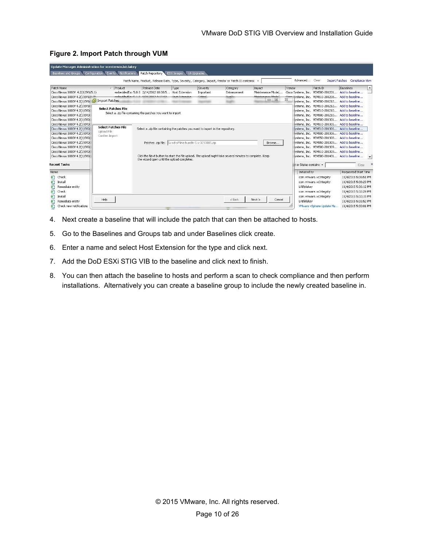| Update Manager Administration for vcenterwin.lab.lakey                                                                                                                                                                                                         |                                                                                            |                                                                                                       |                                      |                        |                                                                                                         |                                                 |                                                    |                                                                                                                                                                                                                                                                                                                                                                                      |                                                                                                                                                                                              |
|----------------------------------------------------------------------------------------------------------------------------------------------------------------------------------------------------------------------------------------------------------------|--------------------------------------------------------------------------------------------|-------------------------------------------------------------------------------------------------------|--------------------------------------|------------------------|---------------------------------------------------------------------------------------------------------|-------------------------------------------------|----------------------------------------------------|--------------------------------------------------------------------------------------------------------------------------------------------------------------------------------------------------------------------------------------------------------------------------------------------------------------------------------------------------------------------------------------|----------------------------------------------------------------------------------------------------------------------------------------------------------------------------------------------|
| Configuration<br>Baselines and Groups                                                                                                                                                                                                                          | Notifications<br><b>Events</b>                                                             | Patch Repository ESXi Images                                                                          |                                      | VA Upgrades            |                                                                                                         |                                                 |                                                    |                                                                                                                                                                                                                                                                                                                                                                                      |                                                                                                                                                                                              |
|                                                                                                                                                                                                                                                                |                                                                                            |                                                                                                       |                                      |                        | Patch Name, Product, Release Date, Type, Severity, Category, Impact, Vendor or Patch ID contains: +     |                                                 | Advanced Clear                                     |                                                                                                                                                                                                                                                                                                                                                                                      | Import Patches Compliance View                                                                                                                                                               |
| Patch Name                                                                                                                                                                                                                                                     | / Product                                                                                  | Release Date                                                                                          | Type                                 | Severity               | Category                                                                                                | Impact                                          | Vendor                                             | Patch ID                                                                                                                                                                                                                                                                                                                                                                             | Baselines<br>$\blacktriangle$                                                                                                                                                                |
| Cisco Nexus 1000V 4.2(1)SV1(5.1)<br>Cisco Nexus 1000V 4.2(1)SV1(F-2)<br>Cisco Nexus 1000V 4.2(1)SV1( Tal Import Patches                                                                                                                                        |                                                                                            | embeddedEsx 5.0.0 2/14/2012 10:00:5 Host Extension<br>development of a distance and                   | <b>Lineh Futunaise</b>               | Important<br>الممتعتيت | Enhancement<br>Danaftin<br>$-$                                                                          | Maintenance Mode(<br>Mainhamanna Madal<br>$= 0$ | $\Sigma$                                           | Cisco Systems, Inc. VEM500-201201 Add to baseline<br>Cinner Systems, Inc. VEM510-201208 Add to baseline<br>wstems, Inc. VEM500-201212 Add to baseline                                                                                                                                                                                                                                |                                                                                                                                                                                              |
| Cisco Nexus 1000V 4.2(1)SV10<br>Cisco Nexus 1000V 4.2(1)SV2(<br>Cisco Nexus 1000V 4.2(1) 5V20<br>Cisco Nexus 1000V 4.2(1) SV20                                                                                                                                 | <b>Select Patches File</b><br>Select a .zip file containing the patches you want to import |                                                                                                       |                                      |                        |                                                                                                         |                                                 |                                                    | lystems, Inc. VEM510-201212 Add to baseline<br>vstems, Inc. VEM510-201210 Add to baseline<br>lystems, Inc. VEM500-201210 Add to baseline<br>vstems, Inc. VEM500-201301 Add to baseline                                                                                                                                                                                               |                                                                                                                                                                                              |
| Cisco Nexus 1000V 4.2(1)5V20<br>Cisco Nexus 1000V 4.2(1)SV2(<br>Cisco Nexus 1000V 4.2(1)SV2(<br>Cisco Nexus 1000V 4.2(1)SV2(<br>Cisco Nexus 1000V 4.2(1)SV2(<br>Cisco Nexus 1000V 4.2(1)5V2(<br>Cisco Nexus 1000V 4.2(1) SV2(<br>Cisco Nexus 1000V 4.2(1) 5V2( | <b>Select Patches File</b><br>Upload File<br>Confirm Import                                | Select a ,zip file containing the patches you want to import in the repository.<br>Patches .zip file: | 5x-rd-offline-bundle-5.x-3210085.zip |                        | Click the Next button to start the file upload. The upload might take several minutes to complete. Keep | Browse                                          |                                                    | lystems. Inc. VEM510-201301 Add to baseline<br>lystems, Inc. VEM510-201306 Add to baseline<br>lystems, Inc. VEM500-201306 Add to baseline<br>lystems, Inc. VEM550-201308 Add to baseline<br>lystems, Inc. VEM550-201309 Add to baseline<br>lystems. Inc. VEM500-201309 Add to baseline<br>lystems, Inc. VEM510-201309 Add to baseline<br>lystems, Inc. VEM500-201401 Add to baseline | $\blacktriangledown$                                                                                                                                                                         |
| <b>Recent Tasks</b>                                                                                                                                                                                                                                            |                                                                                            | the wizard open until the upload completes.                                                           |                                      |                        |                                                                                                         |                                                 | et or Status contains: *                           |                                                                                                                                                                                                                                                                                                                                                                                      | Clear                                                                                                                                                                                        |
| Name<br>幻<br>Check<br>জী<br>Install<br>Đ<br>Remediate entity<br>幻<br>Check<br>४<br>Install<br>ะ<br>Remediate entity<br>€<br>Check new notifications                                                                                                            | Help                                                                                       |                                                                                                       |                                      |                        | $<$ Back                                                                                                | Next<br>Cancel                                  | Initiated by<br>LAB\rlakev<br>LAB\rlakey<br>$-1.1$ | com.vmware.vcIntegrity<br>com.vmware.vcIntegrity<br>com.vmware.vcIntegrity<br>com.vmware.vcIntegrity<br>VMware vSphere Update Ma                                                                                                                                                                                                                                                     | Requested Start Time<br>11/4/2015 5:36:51 PM<br>11/4/2015 5:36:29 PM<br>11/4/2015 5:36:12 PM<br>11/4/2015 5:32:29 PM<br>11/4/2015 5:32:15 PM<br>11/4/2015 5:31:52 PM<br>11/4/2015 5:30:01 PM |

#### **Figure 2. Import Patch through VUM**

- 4. Next create a baseline that will include the patch that can then be attached to hosts.
- 5. Go to the Baselines and Groups tab and under Baselines click create.
- 6. Enter a name and select Host Extension for the type and click next.
- 7. Add the DoD ESXi STIG VIB to the baseline and click next to finish.
- 8. You can then attach the baseline to hosts and perform a scan to check compliance and then perform installations. Alternatively you can create a baseline group to include the newly created baseline in.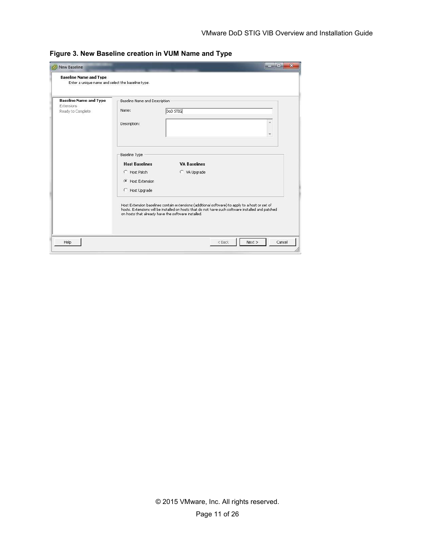| <b>Baseline Name and Type</b><br>Enter a unique name and select the baseline type. |                                                                                                            |                                                                                                                                                                                                                                                           |  |
|------------------------------------------------------------------------------------|------------------------------------------------------------------------------------------------------------|-----------------------------------------------------------------------------------------------------------------------------------------------------------------------------------------------------------------------------------------------------------|--|
| <b>Baseline Name and Type</b><br>Extensions<br>Ready to Complete                   | Baseline Name and Description<br>Name:<br>Description:                                                     | DoD STIG                                                                                                                                                                                                                                                  |  |
|                                                                                    | Baseline Type<br><b>Host Baselines</b><br>C Host Patch<br><b>G</b> Host Extension<br><b>C</b> Host Upgrade | <b>VA Baselines</b><br>C VA Upgrade                                                                                                                                                                                                                       |  |
|                                                                                    |                                                                                                            | Host Extension baselines contain extensions (additional software) to apply to a host or set of<br>hosts, Extensions will be installed on hosts that do not have such software installed and patched<br>on hosts that already have the software installed. |  |

**Figure 3. New Baseline creation in VUM Name and Type**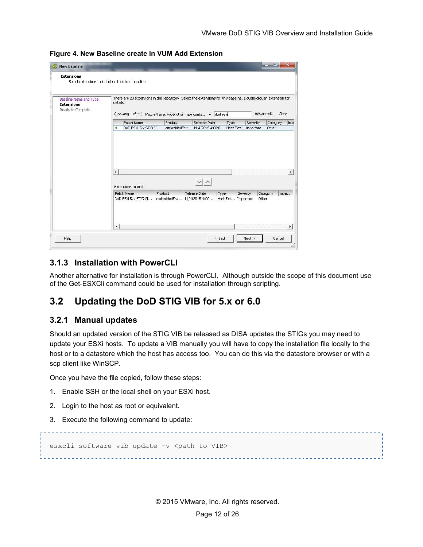**Figure 4. New Baseline create in VUM Add Extension**

| Baseline Name and Type<br><b>Extensions</b><br>Ready to Complete. | There are 23 extensions in the repository. Select the extensions for this baseline. Double-click an extension for<br>details.<br>(Showing 1 of 23) Patch Name, Product or Type conta . dod esxi |         |                                                                        |      |          |          | Advanced Clear |        |
|-------------------------------------------------------------------|-------------------------------------------------------------------------------------------------------------------------------------------------------------------------------------------------|---------|------------------------------------------------------------------------|------|----------|----------|----------------|--------|
|                                                                   | Patch Name                                                                                                                                                                                      | Product | Release Date                                                           | Type |          | Severity | Category       | Imp    |
|                                                                   | ۰                                                                                                                                                                                               |         | DoD ESXi 5.x STIG VI embeddedEsx  11/4/2015 4:00:0 Host Exte Important |      |          |          | Other          |        |
|                                                                   |                                                                                                                                                                                                 |         |                                                                        |      |          |          |                |        |
|                                                                   | $\left  \cdot \right $                                                                                                                                                                          |         |                                                                        |      |          |          |                |        |
|                                                                   | Extensions to Add                                                                                                                                                                               |         |                                                                        |      |          |          |                | ×      |
|                                                                   | Patch Name                                                                                                                                                                                      | Product | Release Date                                                           | Type | Severity |          | Category       | Impact |
|                                                                   | DoD ESXi 5.x STIG VI                                                                                                                                                                            |         | embeddedEsx 11/4/2015 4:00: Host Ext Important                         |      |          | Other    |                |        |

### **3.1.3 Installation with PowerCLI**

Another alternative for installation is through PowerCLI. Although outside the scope of this document use of the Get-ESXCli command could be used for installation through scripting.

### **3.2 Updating the DoD STIG VIB for 5.x or 6.0**

### **3.2.1 Manual updates**

Should an updated version of the STIG VIB be released as DISA updates the STIGs you may need to update your ESXi hosts. To update a VIB manually you will have to copy the installation file locally to the host or to a datastore which the host has access too. You can do this via the datastore browser or with a scp client like WinSCP.

Once you have the file copied, follow these steps:

- 1. Enable SSH or the local shell on your ESXi host.
- 2. Login to the host as root or equivalent.
- 3. Execute the following command to update:

```
esxcli software vib update -v <path to VIB>
```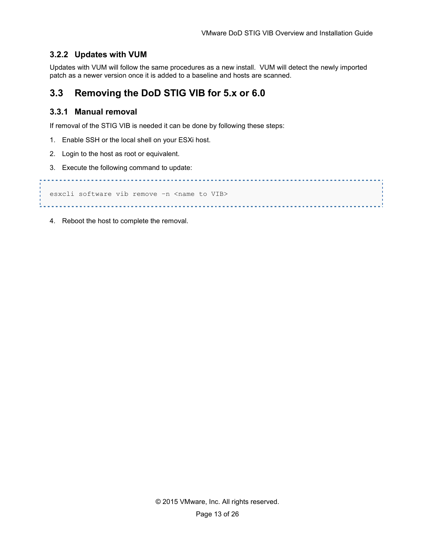### **3.2.2 Updates with VUM**

Updates with VUM will follow the same procedures as a new install. VUM will detect the newly imported patch as a newer version once it is added to a baseline and hosts are scanned.

### **3.3 Removing the DoD STIG VIB for 5.x or 6.0**

### **3.3.1 Manual removal**

If removal of the STIG VIB is needed it can be done by following these steps:

- 1. Enable SSH or the local shell on your ESXi host.
- 2. Login to the host as root or equivalent.
- 3. Execute the following command to update:

```
esxcli software vib remove -n <name to VIB>
```
4. Reboot the host to complete the removal.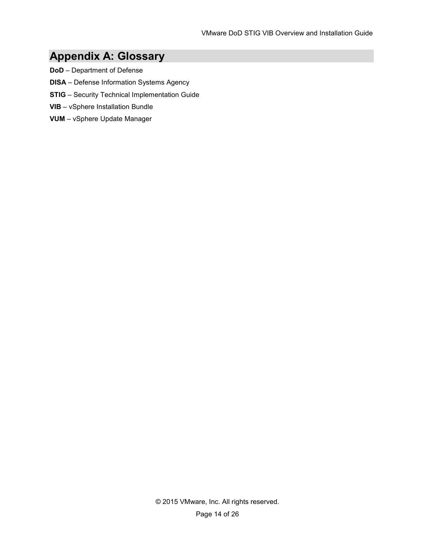# **Appendix A: Glossary**

- **DoD** Department of Defense
- **DISA** Defense Information Systems Agency
- **STIG** Security Technical Implementation Guide
- **VIB** vSphere Installation Bundle
- **VUM** vSphere Update Manager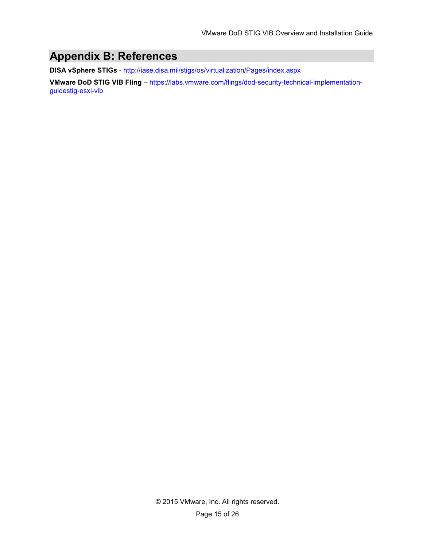# **Appendix B: References**

**DISA vSphere STIGs** - http://iase.disa.mil/stigs/os/virtualization/Pages/index.aspx

**VMware DoD STIG VIB Fling** – https://labs.vmware.com/flings/dod-security-technical-implementationguidestig-esxi-vib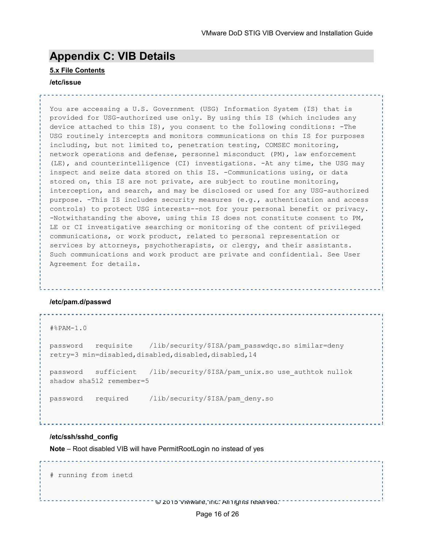# **Appendix C: VIB Details**

#### **5.x File Contents**

#### **/etc/issue**

You are accessing a U.S. Government (USG) Information System (IS) that is provided for USG-authorized use only. By using this IS (which includes any device attached to this IS), you consent to the following conditions: -The USG routinely intercepts and monitors communications on this IS for purposes including, but not limited to, penetration testing, COMSEC monitoring, network operations and defense, personnel misconduct (PM), law enforcement (LE), and counterintelligence (CI) investigations. -At any time, the USG may inspect and seize data stored on this IS. -Communications using, or data stored on, this IS are not private, are subject to routine monitoring, interception, and search, and may be disclosed or used for any USG-authorized purpose. -This IS includes security measures (e.g., authentication and access controls) to protect USG interests--not for your personal benefit or privacy. -Notwithstanding the above, using this IS does not constitute consent to PM, LE or CI investigative searching or monitoring of the content of privileged communications, or work product, related to personal representation or services by attorneys, psychotherapists, or clergy, and their assistants. Such communications and work product are private and confidential. See User Agreement for details.

#### **/etc/pam.d/passwd**

```
#%PAM-1.0
```
password requisite /lib/security/\$ISA/pam\_passwdqc.so similar=deny retry=3 min=disabled,disabled,disabled,disabled,14

password sufficient /lib/security/\$ISA/pam\_unix.so use\_authtok nullok shadow sha512 remember=5

password required /lib/security/\$ISA/pam\_deny.so

#### **/etc/ssh/sshd\_config**

**Note** – Root disabled VIB will have PermitRootLogin no instead of yes

# running from inetd

. . . . . . . . . . . . . . . .

© 2015 VMware, Inc. All rights reserved.

. . . . . . . . . . . . . . .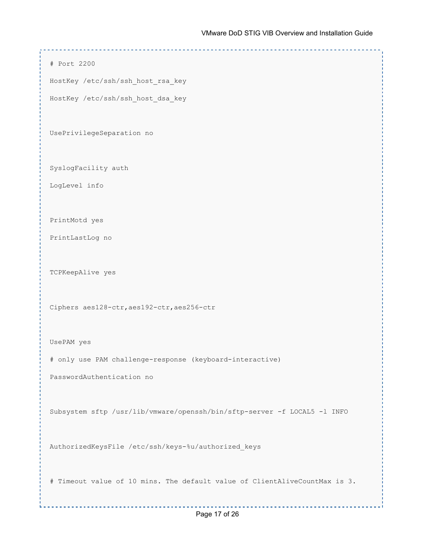```
# Port 2200
HostKey /etc/ssh/ssh_host_rsa_key
HostKey /etc/ssh/ssh_host_dsa_key
UsePrivilegeSeparation no
SyslogFacility auth
LogLevel info
PrintMotd yes
PrintLastLog no
TCPKeepAlive yes
Ciphers aes128-ctr,aes192-ctr,aes256-ctr
UsePAM yes
# only use PAM challenge-response (keyboard-interactive)
PasswordAuthentication no
Subsystem sftp /usr/lib/vmware/openssh/bin/sftp-server -f LOCAL5 -l INFO
AuthorizedKeysFile /etc/ssh/keys-%u/authorized_keys
# Timeout value of 10 mins. The default value of ClientAliveCountMax is 3.
```
© 2015 VMware, Inc. All rights reserved.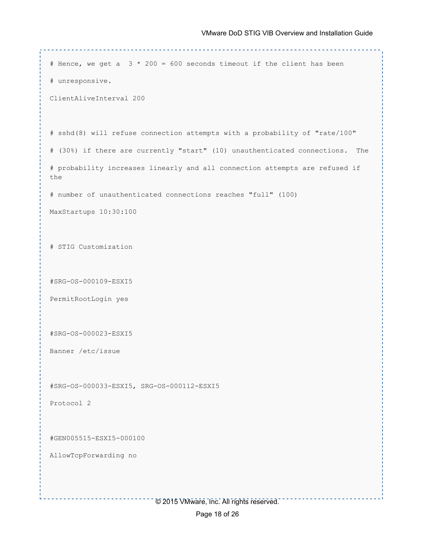```
# Hence, we get a 3 \times 200 = 600 seconds timeout if the client has been
# unresponsive.
ClientAliveInterval 200
# sshd(8) will refuse connection attempts with a probability of "rate/100"
# (30%) if there are currently "start" (10) unauthenticated connections. The
# probability increases linearly and all connection attempts are refused if 
the
# number of unauthenticated connections reaches "full" (100)
MaxStartups 10:30:100
# STIG Customization
#SRG-OS-000109-ESXI5
PermitRootLogin yes
#SRG-OS-000023-ESXI5
Banner /etc/issue
#SRG-OS-000033-ESXI5, SRG-OS-000112-ESXI5
Protocol 2
#GEN005515-ESXI5-000100
AllowTcpForwarding no. . . . . . . . . . . . . .
                      © 2015 VMware, Inc. All rights reserved.
```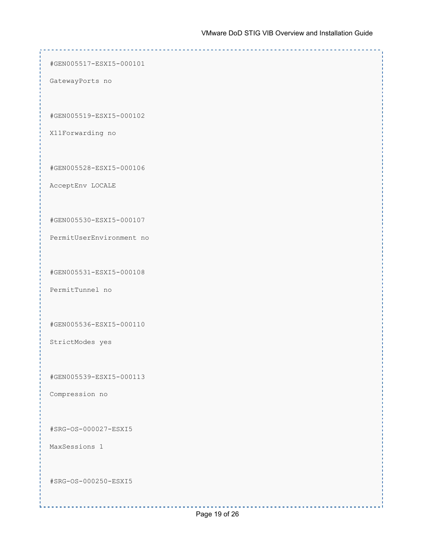#GEN005517-ESXI5-000101 GatewayPorts no #GEN005519-ESXI5-000102 X11Forwarding no #GEN005528-ESXI5-000106 AcceptEnv LOCALE #GEN005530-ESXI5-000107 PermitUserEnvironment no #GEN005531-ESXI5-000108 PermitTunnel no #GEN005536-ESXI5-000110 StrictModes yes #GEN005539-ESXI5-000113 Compression no #SRG-OS-000027-ESXI5 MaxSessions 1 #SRG-OS-000250-ESXI5© 2015 VMware, Inc. All rights reserved.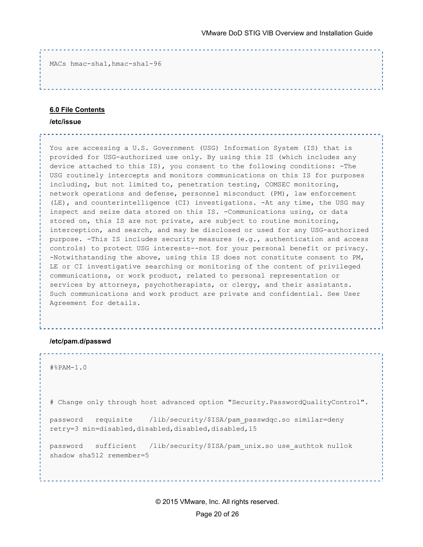MACs hmac-sha1,hmac-sha1-96

#### **6.0 File Contents**

**/etc/issue**

You are accessing a U.S. Government (USG) Information System (IS) that is provided for USG-authorized use only. By using this IS (which includes any device attached to this IS), you consent to the following conditions: -The USG routinely intercepts and monitors communications on this IS for purposes including, but not limited to, penetration testing, COMSEC monitoring, network operations and defense, personnel misconduct (PM), law enforcement (LE), and counterintelligence (CI) investigations. -At any time, the USG may inspect and seize data stored on this IS. -Communications using, or data stored on, this IS are not private, are subject to routine monitoring, interception, and search, and may be disclosed or used for any USG-authorized purpose. -This IS includes security measures (e.g., authentication and access controls) to protect USG interests--not for your personal benefit or privacy. -Notwithstanding the above, using this IS does not constitute consent to PM, LE or CI investigative searching or monitoring of the content of privileged communications, or work product, related to personal representation or services by attorneys, psychotherapists, or clergy, and their assistants. Such communications and work product are private and confidential. See User Agreement for details.

#### **/etc/pam.d/passwd**

```
#%PAM-1.0
```
# Change only through host advanced option "Security.PasswordQualityControl".

```
password requisite /lib/security/$ISA/pam_passwdqc.so similar=deny 
retry=3 min=disabled,disabled,disabled,disabled,15
```
password sufficient /lib/security/\$ISA/pam\_unix.so use\_authtok nullok shadow sha512 remember=5

> © 2015 VMware, Inc. All rights reserved. Page 20 of 26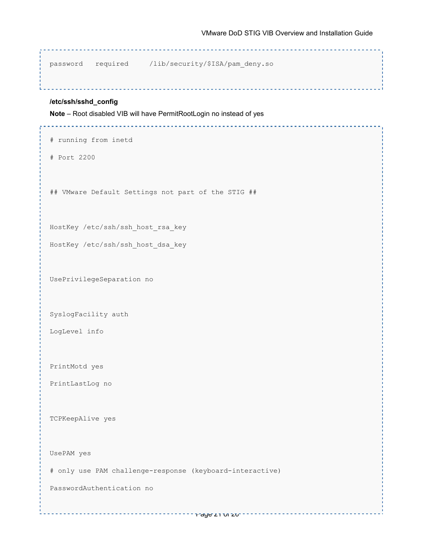password required /lib/security/\$ISA/pam\_deny.so

#### **/etc/ssh/sshd\_config**

**Note** – Root disabled VIB will have PermitRootLogin no instead of yes

```
# running from inetd
# Port 2200
## VMware Default Settings not part of the STIG ##
HostKey /etc/ssh/ssh_host_rsa_key
HostKey /etc/ssh/ssh_host_dsa_key
UsePrivilegeSeparation no
SyslogFacility auth
LogLevel info
PrintMotd yes
PrintLastLog no
TCPKeepAlive yes
UsePAM yes
# only use PAM challenge-response (keyboard-interactive)
PasswordAuthentication no
```
Page 21 of 26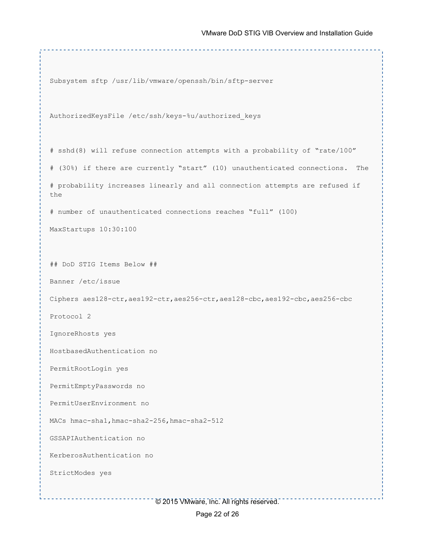Subsystem sftp /usr/lib/vmware/openssh/bin/sftp-server

AuthorizedKeysFile /etc/ssh/keys-%u/authorized\_keys

and the contract of the contract of the contract of the

# sshd(8) will refuse connection attempts with a probability of "rate/100" # (30%) if there are currently "start" (10) unauthenticated connections. The # probability increases linearly and all connection attempts are refused if the # number of unauthenticated connections reaches "full" (100)

MaxStartups 10:30:100

## DoD STIG Items Below ##

Banner /etc/issue

Ciphers aes128-ctr,aes192-ctr,aes256-ctr,aes128-cbc,aes192-cbc,aes256-cbc

Protocol 2

IgnoreRhosts yes

HostbasedAuthentication no

PermitRootLogin yes

PermitEmptyPasswords no

PermitUserEnvironment no

MACs hmac-sha1, hmac-sha2-256, hmac-sha2-512

GSSAPIAuthentication no

KerberosAuthentication no

StrictModes yes

© 2015 VMware, Inc. All rights reserved.

-----------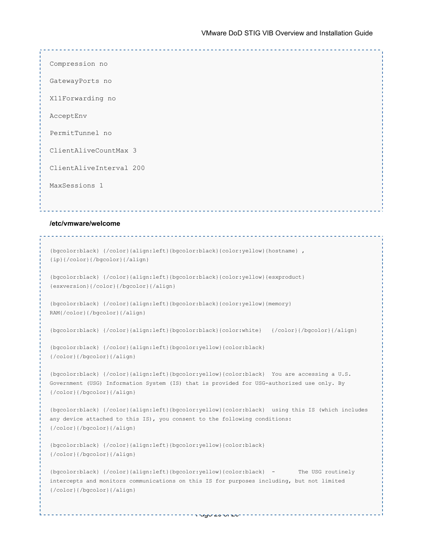Compression no GatewayPorts no X11Forwarding no AcceptEnv PermitTunnel no ClientAliveCountMax 3 ClientAliveInterval 200 MaxSessions 1

#### **/etc/vmware/welcome**

```
{bgcolor:black} {/color}{align:left}{bgcolor:black}{color:yellow}{hostname} , 
{ip}{/color}{/bgcolor}{/align}
{bgcolor:black} {/color}{align:left}{bgcolor:black}{color:yellow}{esxproduct} 
{esxversion}{/color}{/bgcolor}{/align}
{bgcolor:black} {/color}{align:left}{bgcolor:black}{color:yellow}{memory} 
RAM{/color}{/bgcolor}{/align}
{bgcolor:black} {/color}{align:left}{bgcolor:black}{color:white} {/color}{/bgcolor}{/align}
{bgcolor:black} {/color}{align:left}{bgcolor:yellow}{color:black} 
{/color}{/bgcolor}{/align}
{bgcolor:black} {/color}{align:left}{bgcolor:yellow}{color:black} You are accessing a U.S. 
Government (USG) Information System (IS) that is provided for USG-authorized use only. By 
{/color}{/bgcolor}{/align}
{bgcolor:black} {/color}{align:left}{bgcolor:yellow}{color:black} using this IS (which includes 
any device attached to this IS), you consent to the following conditions: 
{/color}{/bgcolor}{/align}
{bgcolor:black} {/color}{align:left}{bgcolor:yellow}{color:black} 
{/color}{/bgcolor}{/align}
{bgcolor:black} {/color}{align:left}{bgcolor:yellow}{color:black} - The USG routinely 
intercepts and monitors communications on this IS for purposes including, but not limited 
{/color}{/bgcolor}{/align}
```
Page 23 of 26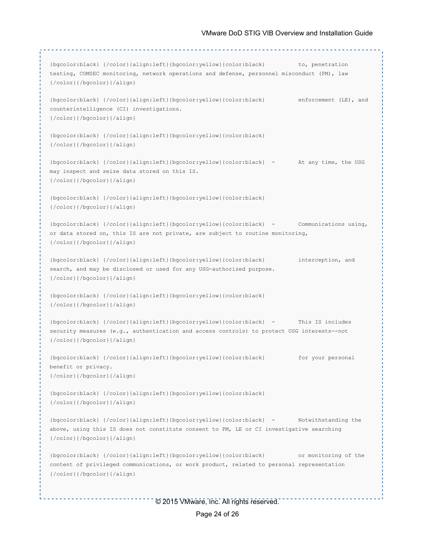```
{bgcolor:black} {/color}{align:left}{bgcolor:yellow}{color:black} to, penetration 
testing, COMSEC monitoring, network operations and defense, personnel misconduct (PM), law 
{/color}{/bgcolor}{/align}
{bgcolor:black} {/color}{align:left}{bgcolor:yellow}{color:black} enforcement (LE), and 
counterintelligence (CI) investigations. 
{/color}{/bgcolor}{/align}
{bgcolor:black} {/color}{align:left}{bgcolor:yellow}{color:black} 
{/color}{/bgcolor}{/align}
{bgcolor:black} {/color}{align:left}{bgcolor:yellow}{color:black} - At any time, the USG 
may inspect and seize data stored on this IS. 
{/color}{/bgcolor}{/align}
{bgcolor:black} {/color}{align:left}{bgcolor:yellow}{color:black} 
{/color}{/bgcolor}{/align}
{bgcolor:black} {/color}{align:left}{bgcolor:yellow}{color:black} - Communications using, 
or data stored on, this IS are not private, are subject to routine monitoring, 
{/color}{/bgcolor}{/align}
{bgcolor:black} {/color}{align:left}{bgcolor:yellow}{color:black} interception, and 
search, and may be disclosed or used for any USG-authorized purpose. 
{/color}{/bgcolor}{/align}
{bgcolor:black} {/color}{align:left}{bgcolor:yellow}{color:black} 
{/color}{/bgcolor}{/align}
{bgcolor:black} {/color}{align:left}{bgcolor:yellow}{color:black} - This IS includes 
security measures (e.g., authentication and access controls) to protect USG interests--not 
{/color}{/bgcolor}{/align}
{bgcolor:black} {/color}{align:left}{bgcolor:yellow}{color:black} for your personal 
benefit or privacy. 
{/color}{/bgcolor}{/align}
{bgcolor:black} {/color}{align:left}{bgcolor:yellow}{color:black} 
{/color}{/bgcolor}{/align}
{bgcolor:black} {/color}{align:left}{bgcolor:yellow}{color:black} - Notwithstanding the 
above, using this IS does not constitute consent to PM, LE or CI investigative searching 
{/color}{/bgcolor}{/align}
{bgcolor:black} {/color}{align:left}{bgcolor:yellow}{color:black} or monitoring of the 
content of privileged communications, or work product, related to personal representation 
{/color}{/bgcolor}{/align}
```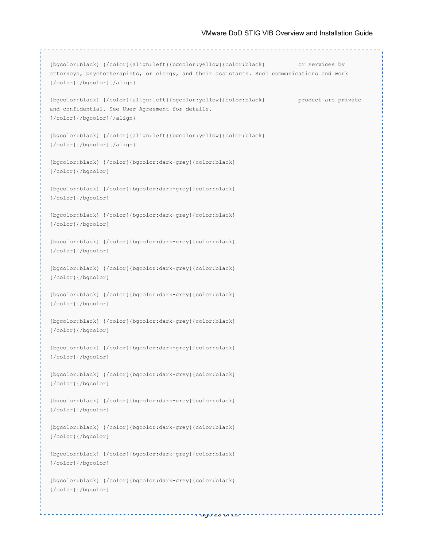```
{bgcolor:black} {/color}{align:left}{bgcolor:yellow}{color:black} or services by 
attorneys, psychotherapists, or clergy, and their assistants. Such communications and work 
{/color}{/bgcolor}{/align}
{bgcolor:black} {/color}{align:left}{bgcolor:yellow}{color:black} product are private 
and confidential. See User Agreement for details. 
{/color}{/bgcolor}{/align}
{bgcolor:black} {/color}{align:left}{bgcolor:yellow}{color:black} 
{/color}{/bgcolor}{/align}
{bgcolor:black} {/color}{bgcolor:dark-grey}{color:black} 
{/color}{/bgcolor}
{bgcolor:black} {/color}{bgcolor:dark-grey}{color:black} 
{/color}{/bgcolor}
{bgcolor:black} {/color}{bgcolor:dark-grey}{color:black} 
{/color}{/bgcolor}
{bgcolor:black} {/color}{bgcolor:dark-grey}{color:black} 
{/color}{/bgcolor}
{bgcolor:black} {/color}{bgcolor:dark-grey}{color:black} 
{/color}{/bgcolor}
{bgcolor:black} {/color}{bgcolor:dark-grey}{color:black} 
{/color}{/bgcolor}
{bgcolor:black} {/color}{bgcolor:dark-grey}{color:black} 
{/color}{/bgcolor}
{bgcolor:black} {/color}{bgcolor:dark-grey}{color:black} 
{/color}{/bgcolor}
{bgcolor:black} {/color}{bgcolor:dark-grey}{color:black} 
{/color}{/bgcolor}
{bgcolor:black} {/color}{bgcolor:dark-grey}{color:black} 
{/color}{/bgcolor}
{bgcolor:black} {/color}{bgcolor:dark-grey}{color:black} 
{/color}{/bgcolor}
{bgcolor:black} {/color}{bgcolor:dark-grey}{color:black} 
{/color}{/bgcolor}
{bgcolor:black} {/color}{bgcolor:dark-grey}{color:black} 
{/color}{/bgcolor}
```
Page 25 of 26